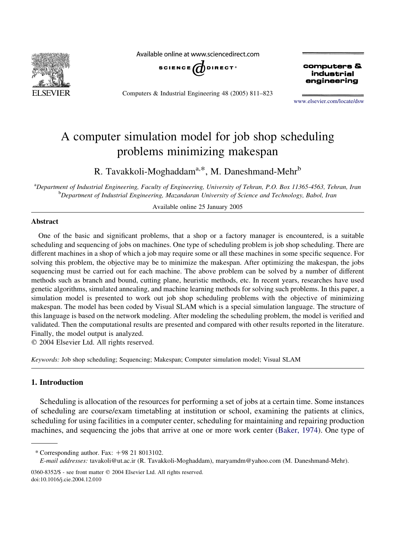

Available online at www.sciencedirect.com



Computers & Industrial Engineering 48 (2005) 811–823

computers & industrial engineering

[www.elsevier.com/locate/dsw](http://www.elsevier.com/locate/dsw)

## A computer simulation model for job shop scheduling problems minimizing makespan

R. Tavakkoli-Moghaddam<sup>a,\*</sup>, M. Daneshmand-Mehr<sup>b</sup>

a<br>
<sup>a</sup>Department of Industrial Engineering, Faculty of Engineering, University of Tehran, P.O. Box 11365-4563, Tehran, Iran b<br>
<sup>b</sup>Department of Industrial Engineering, Mazandaran University of Science and Technology, Babol <sup>b</sup>Department of Industrial Engineering, Mazandaran University of Science and Technology, Babol, Iran

Available online 25 January 2005

## Abstract

One of the basic and significant problems, that a shop or a factory manager is encountered, is a suitable scheduling and sequencing of jobs on machines. One type of scheduling problem is job shop scheduling. There are different machines in a shop of which a job may require some or all these machines in some specific sequence. For solving this problem, the objective may be to minimize the makespan. After optimizing the makespan, the jobs sequencing must be carried out for each machine. The above problem can be solved by a number of different methods such as branch and bound, cutting plane, heuristic methods, etc. In recent years, researches have used genetic algorithms, simulated annealing, and machine learning methods for solving such problems. In this paper, a simulation model is presented to work out job shop scheduling problems with the objective of minimizing makespan. The model has been coded by Visual SLAM which is a special simulation language. The structure of this language is based on the network modeling. After modeling the scheduling problem, the model is verified and validated. Then the computational results are presented and compared with other results reported in the literature. Finally, the model output is analyzed.

 $©$  2004 Elsevier Ltd. All rights reserved.

Keywords: Job shop scheduling; Sequencing; Makespan; Computer simulation model; Visual SLAM

## 1. Introduction

Scheduling is allocation of the resources for performing a set of jobs at a certain time. Some instances of scheduling are course/exam timetabling at institution or school, examining the patients at clinics, scheduling for using facilities in a computer center, scheduling for maintaining and repairing production machines, and sequencing the jobs that arrive at one or more work center [\(Baker, 1974\)](#page--1-0). One type of

<sup>\*</sup> Corresponding author. Fax:  $+98$  21 8013102.

E-mail addresses: tavakoli@ut.ac.ir (R. Tavakkoli-Moghaddam), maryamdm@yahoo.com (M. Daneshmand-Mehr).

<sup>0360-8352/\$ -</sup> see front matter © 2004 Elsevier Ltd. All rights reserved. doi:10.1016/j.cie.2004.12.010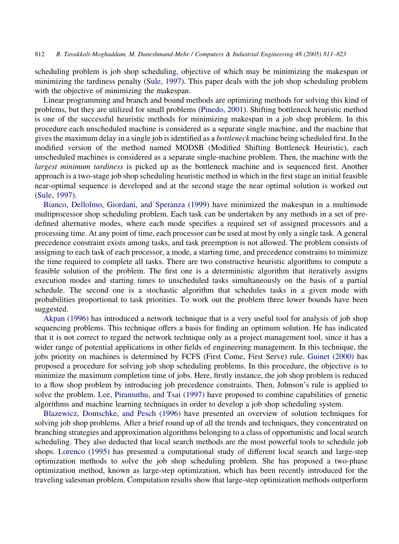scheduling problem is job shop scheduling, objective of which may be minimizing the makespan or minimizing the tardiness penalty ([Sule, 1997](#page--1-0)). This paper deals with the job shop scheduling problem with the objective of minimizing the makespan.

Linear programming and branch and bound methods are optimizing methods for solving this kind of problems, but they are utilized for small problems [\(Pinedo, 2001](#page--1-0)). Shifting bottleneck heuristic method is one of the successful heuristic methods for minimizing makespan in a job shop problem. In this procedure each unscheduled machine is considered as a separate single machine, and the machine that gives the maximum delay in a single job is identified as a bottleneck machine being scheduled first. In the modified version of the method named MODSB (Modified Shifting Bottleneck Heuristic), each unscheduled machines is considered as a separate single-machine problem. Then, the machine with the largest minimum tardiness is picked up as the bottleneck machine and is sequenced first. Another approach is a two-stage job shop scheduling heuristic method in which in the first stage an initial feasible near-optimal sequence is developed and at the second stage the near optimal solution is worked out [\(Sule, 1997\)](#page--1-0).

[Bianco, Dellolmo, Giordani, and Speranza \(1999\)](#page--1-0) have minimized the makespan in a multimode multiprocessor shop scheduling problem. Each task can be undertaken by any methods in a set of predefined alternative modes, where each mode specifies a required set of assigned processors and a processing time. At any point of time, each processor can be used at most by only a single task. A general precedence constraint exists among tasks, and task preemption is not allowed. The problem consists of assigning to each task of each processor, a mode, a starting time, and precedence constrains to minimize the time required to complete all tasks. There are two constructive heuristic algorithms to compute a feasible solution of the problem. The first one is a deterministic algorithm that iteratively assigns execution modes and starting times to unscheduled tasks simultaneously on the basis of a partial schedule. The second one is a stochastic algorithm that schedules tasks in a given mode with probabilities proportional to task priorities. To work out the problem three lower bounds have been suggested.

[Akpan \(1996\)](#page--1-0) has introduced a network technique that is a very useful tool for analysis of job shop sequencing problems. This technique offers a basis for finding an optimum solution. He has indicated that it is not correct to regard the network technique only as a project management tool, since it has a wider range of potential applications in other fields of engineering management. In this technique, the jobs priority on machines is determined by FCFS (First Come, First Serve) rule. [Guinet \(2000\)](#page--1-0) has proposed a procedure for solving job shop scheduling problems. In this procedure, the objective is to minimize the maximum completion time of jobs. Here, firstly instance, the job shop problem is reduced to a flow shop problem by introducing job precedence constraints. Then, Johnson's rule is applied to solve the problem. [Lee, Piramuthu, and Tsai \(1997\)](#page--1-0) have proposed to combine capabilities of genetic algorithms and machine learning techniques in order to develop a job shop scheduling system.

[Blazewicz, Domschke, and Pesch \(1996\)](#page--1-0) have presented an overview of solution techniques for solving job shop problems. After a brief round up of all the trends and techniques, they concentrated on branching strategies and approximation algorithms belonging to a class of opportunistic and local search scheduling. They also deducted that local search methods are the most powerful tools to schedule job shops. [Lorenco \(1995\)](#page--1-0) has presented a computational study of different local search and large-step optimization methods to solve the job shop scheduling problem. She has proposed a two-phase optimization method, known as large-step optimization, which has been recently introduced for the traveling salesman problem. Computation results show that large-step optimization methods outperform